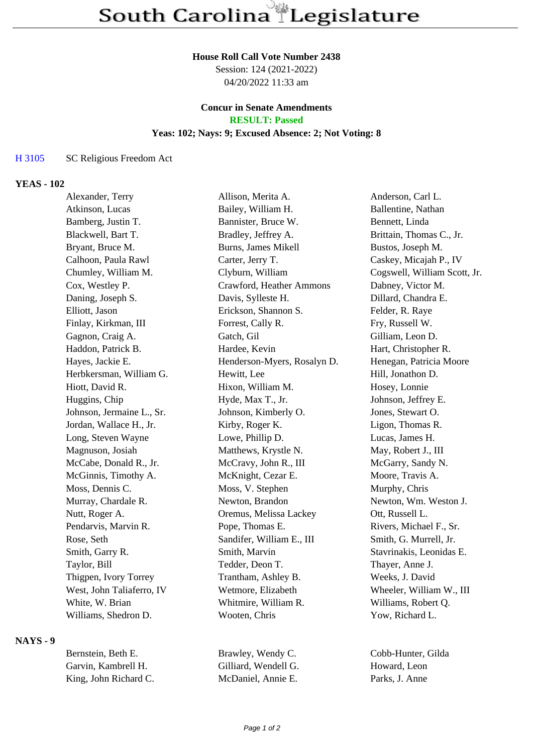### **House Roll Call Vote Number 2438**

Session: 124 (2021-2022) 04/20/2022 11:33 am

## **Concur in Senate Amendments RESULT: Passed**

### **Yeas: 102; Nays: 9; Excused Absence: 2; Not Voting: 8**

## H 3105 SC Religious Freedom Act

## **YEAS - 102**

| Alexander, Terry          | Allison, Merita A.          | Anderson, Carl L.            |
|---------------------------|-----------------------------|------------------------------|
| Atkinson, Lucas           | Bailey, William H.          | Ballentine, Nathan           |
| Bamberg, Justin T.        | Bannister, Bruce W.         | Bennett, Linda               |
| Blackwell, Bart T.        | Bradley, Jeffrey A.         | Brittain, Thomas C., Jr.     |
| Bryant, Bruce M.          | <b>Burns, James Mikell</b>  | Bustos, Joseph M.            |
| Calhoon, Paula Rawl       | Carter, Jerry T.            | Caskey, Micajah P., IV       |
| Chumley, William M.       | Clyburn, William            | Cogswell, William Scott, Jr. |
| Cox, Westley P.           | Crawford, Heather Ammons    | Dabney, Victor M.            |
| Daning, Joseph S.         | Davis, Sylleste H.          | Dillard, Chandra E.          |
| Elliott, Jason            | Erickson, Shannon S.        | Felder, R. Raye              |
| Finlay, Kirkman, III      | Forrest, Cally R.           | Fry, Russell W.              |
| Gagnon, Craig A.          | Gatch, Gil                  | Gilliam, Leon D.             |
| Haddon, Patrick B.        | Hardee, Kevin               | Hart, Christopher R.         |
| Hayes, Jackie E.          | Henderson-Myers, Rosalyn D. | Henegan, Patricia Moore      |
| Herbkersman, William G.   | Hewitt, Lee                 | Hill, Jonathon D.            |
| Hiott, David R.           | Hixon, William M.           | Hosey, Lonnie                |
| Huggins, Chip             | Hyde, Max T., Jr.           | Johnson, Jeffrey E.          |
| Johnson, Jermaine L., Sr. | Johnson, Kimberly O.        | Jones, Stewart O.            |
| Jordan, Wallace H., Jr.   | Kirby, Roger K.             | Ligon, Thomas R.             |
| Long, Steven Wayne        | Lowe, Phillip D.            | Lucas, James H.              |
| Magnuson, Josiah          | Matthews, Krystle N.        | May, Robert J., III          |
| McCabe, Donald R., Jr.    | McCravy, John R., III       | McGarry, Sandy N.            |
| McGinnis, Timothy A.      | McKnight, Cezar E.          | Moore, Travis A.             |
| Moss, Dennis C.           | Moss, V. Stephen            | Murphy, Chris                |
| Murray, Chardale R.       | Newton, Brandon             | Newton, Wm. Weston J.        |
| Nutt, Roger A.            | Oremus, Melissa Lackey      | Ott, Russell L.              |
| Pendarvis, Marvin R.      | Pope, Thomas E.             | Rivers, Michael F., Sr.      |
| Rose, Seth                | Sandifer, William E., III   | Smith, G. Murrell, Jr.       |
| Smith, Garry R.           | Smith, Marvin               | Stavrinakis, Leonidas E.     |
| Taylor, Bill              | Tedder, Deon T.             | Thayer, Anne J.              |
| Thigpen, Ivory Torrey     | Trantham, Ashley B.         | Weeks, J. David              |
| West, John Taliaferro, IV | Wetmore, Elizabeth          | Wheeler, William W., III     |
| White, W. Brian           | Whitmire, William R.        | Williams, Robert Q.          |
| Williams, Shedron D.      | Wooten, Chris               | Yow, Richard L.              |
|                           |                             |                              |

**NAYS - 9**

| Bernstein, Beth E.    | Brawley, Wendy C.    | Cobb-Hunter, Gilda |
|-----------------------|----------------------|--------------------|
| Garvin, Kambrell H.   | Gilliard, Wendell G. | Howard, Leon       |
| King, John Richard C. | McDaniel, Annie E.   | Parks, J. Anne     |